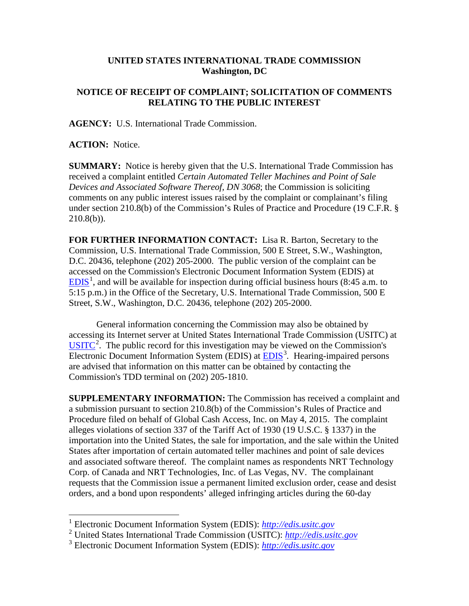## **UNITED STATES INTERNATIONAL TRADE COMMISSION Washington, DC**

## **NOTICE OF RECEIPT OF COMPLAINT; SOLICITATION OF COMMENTS RELATING TO THE PUBLIC INTEREST**

**AGENCY:** U.S. International Trade Commission.

**ACTION:** Notice.

 $\overline{a}$ 

**SUMMARY:** Notice is hereby given that the U.S. International Trade Commission has received a complaint entitled *Certain Automated Teller Machines and Point of Sale Devices and Associated Software Thereof, DN 3068*; the Commission is soliciting comments on any public interest issues raised by the complaint or complainant's filing under section 210.8(b) of the Commission's Rules of Practice and Procedure (19 C.F.R. §  $210.8(b)$ ).

**FOR FURTHER INFORMATION CONTACT:** Lisa R. Barton, Secretary to the Commission, U.S. International Trade Commission, 500 E Street, S.W., Washington, D.C. 20436, telephone (202) 205-2000. The public version of the complaint can be accessed on the Commission's Electronic Document Information System (EDIS) at  $EDIS<sup>1</sup>$  $EDIS<sup>1</sup>$  $EDIS<sup>1</sup>$  $EDIS<sup>1</sup>$ , and will be available for inspection during official business hours (8:45 a.m. to 5:15 p.m.) in the Office of the Secretary, U.S. International Trade Commission, 500 E Street, S.W., Washington, D.C. 20436, telephone (202) 205-2000.

General information concerning the Commission may also be obtained by accessing its Internet server at United States International Trade Commission (USITC) at  $\overline{USTTC}^2$  $\overline{USTTC}^2$ . The public record for this investigation may be viewed on the Commission's Electronic Document Information System (EDIS) at **EDIS**<sup>[3](#page-0-2)</sup>. Hearing-impaired persons are advised that information on this matter can be obtained by contacting the Commission's TDD terminal on (202) 205-1810.

**SUPPLEMENTARY INFORMATION:** The Commission has received a complaint and a submission pursuant to section 210.8(b) of the Commission's Rules of Practice and Procedure filed on behalf of Global Cash Access, Inc. on May 4, 2015. The complaint alleges violations of section 337 of the Tariff Act of 1930 (19 U.S.C. § 1337) in the importation into the United States, the sale for importation, and the sale within the United States after importation of certain automated teller machines and point of sale devices and associated software thereof. The complaint names as respondents NRT Technology Corp. of Canada and NRT Technologies, Inc. of Las Vegas, NV. The complainant requests that the Commission issue a permanent limited exclusion order, cease and desist orders, and a bond upon respondents' alleged infringing articles during the 60-day

<span id="page-0-0"></span><sup>1</sup> Electronic Document Information System (EDIS): *[http://edis.usitc.gov](http://edis.usitc.gov/)*

<span id="page-0-1"></span><sup>2</sup> United States International Trade Commission (USITC): *[http://edis.usitc.gov](http://edis.usitc.gov/)*

<span id="page-0-2"></span><sup>3</sup> Electronic Document Information System (EDIS): *[http://edis.usitc.gov](http://edis.usitc.gov/)*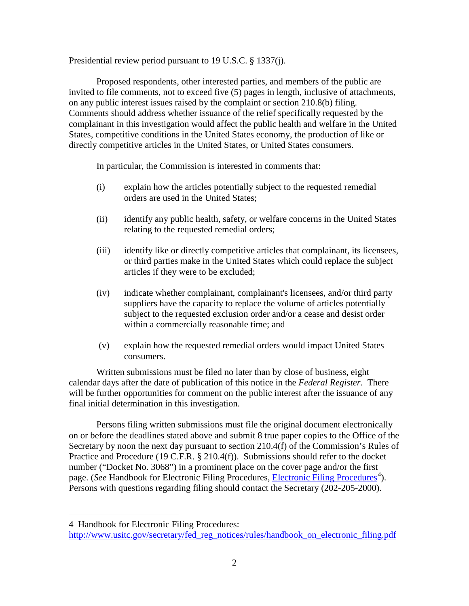Presidential review period pursuant to 19 U.S.C. § 1337(j).

Proposed respondents, other interested parties, and members of the public are invited to file comments, not to exceed five (5) pages in length, inclusive of attachments, on any public interest issues raised by the complaint or section 210.8(b) filing. Comments should address whether issuance of the relief specifically requested by the complainant in this investigation would affect the public health and welfare in the United States, competitive conditions in the United States economy, the production of like or directly competitive articles in the United States, or United States consumers.

In particular, the Commission is interested in comments that:

- (i) explain how the articles potentially subject to the requested remedial orders are used in the United States;
- (ii) identify any public health, safety, or welfare concerns in the United States relating to the requested remedial orders;
- (iii) identify like or directly competitive articles that complainant, its licensees, or third parties make in the United States which could replace the subject articles if they were to be excluded;
- (iv) indicate whether complainant, complainant's licensees, and/or third party suppliers have the capacity to replace the volume of articles potentially subject to the requested exclusion order and/or a cease and desist order within a commercially reasonable time; and
- (v) explain how the requested remedial orders would impact United States consumers.

Written submissions must be filed no later than by close of business, eight calendar days after the date of publication of this notice in the *Federal Register*. There will be further opportunities for comment on the public interest after the issuance of any final initial determination in this investigation.

Persons filing written submissions must file the original document electronically on or before the deadlines stated above and submit 8 true paper copies to the Office of the Secretary by noon the next day pursuant to section 210.4(f) of the Commission's Rules of Practice and Procedure (19 C.F.R. § 210.4(f)). Submissions should refer to the docket number ("Docket No. 3068") in a prominent place on the cover page and/or the first page. (*See* Handbook for [Electronic Filing Procedures](http://www.usitc.gov/secretary/fed_reg_notices/rules/handbook_on_electronic_filing.pdf), *Electronic Filing Procedures*<sup>[4](#page-1-0)</sup>). Persons with questions regarding filing should contact the Secretary (202-205-2000).

 $\overline{a}$ 

<span id="page-1-0"></span><sup>4</sup> Handbook for Electronic Filing Procedures:

[http://www.usitc.gov/secretary/fed\\_reg\\_notices/rules/handbook\\_on\\_electronic\\_filing.pdf](http://www.usitc.gov/secretary/fed_reg_notices/rules/handbook_on_electronic_filing.pdf)